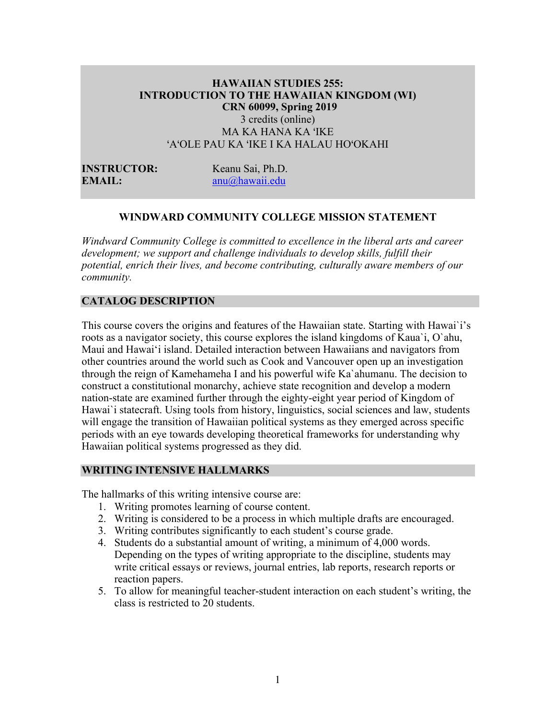#### **HAWAIIAN STUDIES 255: INTRODUCTION TO THE HAWAIIAN KINGDOM (WI) CRN 60099, Spring 2019** 3 credits (online)

MA KA HANA KA ʻIKE ʻAʻOLE PAU KA ʻIKE I KA HALAU HOʻOKAHI

**INSTRUCTOR:** Keanu Sai, Ph.D. **EMAIL:** anu@hawaii.edu

#### **WINDWARD COMMUNITY COLLEGE MISSION STATEMENT**

*Windward Community College is committed to excellence in the liberal arts and career development; we support and challenge individuals to develop skills, fulfill their potential, enrich their lives, and become contributing, culturally aware members of our community.*

#### **CATALOG DESCRIPTION**

This course covers the origins and features of the Hawaiian state. Starting with Hawai`i's roots as a navigator society, this course explores the island kingdoms of Kaua`i, O`ahu, Maui and Hawai'i island. Detailed interaction between Hawaiians and navigators from other countries around the world such as Cook and Vancouver open up an investigation through the reign of Kamehameha I and his powerful wife Ka`ahumanu. The decision to construct a constitutional monarchy, achieve state recognition and develop a modern nation-state are examined further through the eighty-eight year period of Kingdom of Hawai'i statecraft. Using tools from history, linguistics, social sciences and law, students will engage the transition of Hawaiian political systems as they emerged across specific periods with an eye towards developing theoretical frameworks for understanding why Hawaiian political systems progressed as they did.

#### **WRITING INTENSIVE HALLMARKS**

The hallmarks of this writing intensive course are:

- 1. Writing promotes learning of course content.
- 2. Writing is considered to be a process in which multiple drafts are encouraged.
- 3. Writing contributes significantly to each student's course grade.
- 4. Students do a substantial amount of writing, a minimum of 4,000 words. Depending on the types of writing appropriate to the discipline, students may write critical essays or reviews, journal entries, lab reports, research reports or reaction papers.
- 5. To allow for meaningful teacher-student interaction on each student's writing, the class is restricted to 20 students.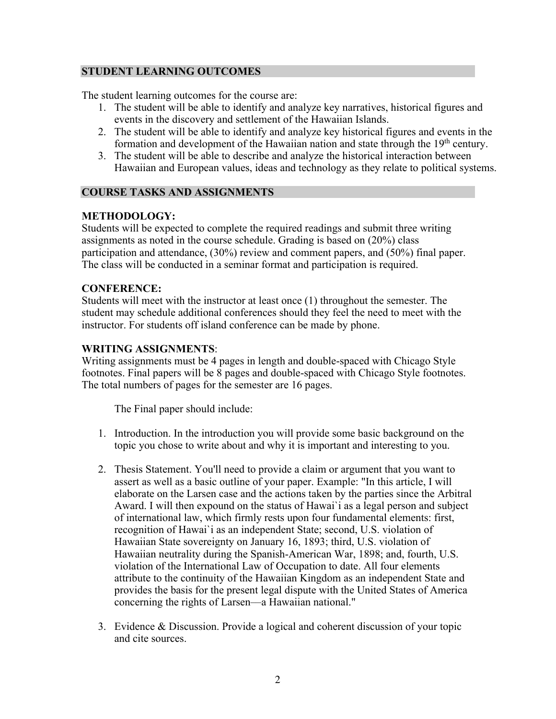#### **STUDENT LEARNING OUTCOMES**

The student learning outcomes for the course are:

- 1. The student will be able to identify and analyze key narratives, historical figures and events in the discovery and settlement of the Hawaiian Islands.
- 2. The student will be able to identify and analyze key historical figures and events in the formation and development of the Hawaiian nation and state through the 19<sup>th</sup> century.
- 3. The student will be able to describe and analyze the historical interaction between Hawaiian and European values, ideas and technology as they relate to political systems.

# **COURSE TASKS AND ASSIGNMENTS**

### **METHODOLOGY:**

Students will be expected to complete the required readings and submit three writing assignments as noted in the course schedule. Grading is based on (20%) class participation and attendance, (30%) review and comment papers, and (50%) final paper. The class will be conducted in a seminar format and participation is required.

### **CONFERENCE:**

Students will meet with the instructor at least once (1) throughout the semester. The student may schedule additional conferences should they feel the need to meet with the instructor. For students off island conference can be made by phone.

#### **WRITING ASSIGNMENTS**:

Writing assignments must be 4 pages in length and double-spaced with Chicago Style footnotes. Final papers will be 8 pages and double-spaced with Chicago Style footnotes. The total numbers of pages for the semester are 16 pages.

The Final paper should include:

- 1. Introduction. In the introduction you will provide some basic background on the topic you chose to write about and why it is important and interesting to you.
- 2. Thesis Statement. You'll need to provide a claim or argument that you want to assert as well as a basic outline of your paper. Example: "In this article, I will elaborate on the Larsen case and the actions taken by the parties since the Arbitral Award. I will then expound on the status of Hawai`i as a legal person and subject of international law, which firmly rests upon four fundamental elements: first, recognition of Hawai`i as an independent State; second, U.S. violation of Hawaiian State sovereignty on January 16, 1893; third, U.S. violation of Hawaiian neutrality during the Spanish-American War, 1898; and, fourth, U.S. violation of the International Law of Occupation to date. All four elements attribute to the continuity of the Hawaiian Kingdom as an independent State and provides the basis for the present legal dispute with the United States of America concerning the rights of Larsen––a Hawaiian national."
- 3. Evidence & Discussion. Provide a logical and coherent discussion of your topic and cite sources.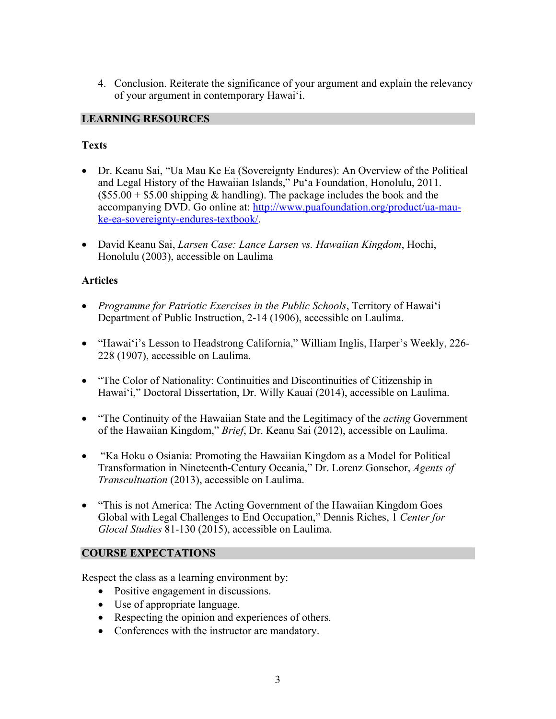4. Conclusion. Reiterate the significance of your argument and explain the relevancy of your argument in contemporary Hawai'i.

## **LEARNING RESOURCES**

# **Texts**

- Dr. Keanu Sai, "Ua Mau Ke Ea (Sovereignty Endures): An Overview of the Political and Legal History of the Hawaiian Islands," Pu'a Foundation, Honolulu, 2011.  $($55.00 + $5.00$  shipping & handling). The package includes the book and the accompanying DVD. Go online at: http://www.puafoundation.org/product/ua-mauke-ea-sovereignty-endures-textbook/.
- David Keanu Sai, *Larsen Case: Lance Larsen vs. Hawaiian Kingdom*, Hochi, Honolulu (2003), accessible on Laulima

# **Articles**

- *Programme for Patriotic Exercises in the Public Schools*, Territory of Hawai'i Department of Public Instruction, 2-14 (1906), accessible on Laulima.
- "Hawai'i's Lesson to Headstrong California," William Inglis, Harper's Weekly, 226- 228 (1907), accessible on Laulima.
- "The Color of Nationality: Continuities and Discontinuities of Citizenship in Hawai'i," Doctoral Dissertation, Dr. Willy Kauai (2014), accessible on Laulima.
- "The Continuity of the Hawaiian State and the Legitimacy of the *acting* Government of the Hawaiian Kingdom," *Brief*, Dr. Keanu Sai (2012), accessible on Laulima.
- "Ka Hoku o Osiania: Promoting the Hawaiian Kingdom as a Model for Political Transformation in Nineteenth-Century Oceania," Dr. Lorenz Gonschor, *Agents of Transcultuation* (2013), accessible on Laulima.
- "This is not America: The Acting Government of the Hawaiian Kingdom Goes Global with Legal Challenges to End Occupation," Dennis Riches, 1 *Center for Glocal Studies* 81-130 (2015), accessible on Laulima.

### **COURSE EXPECTATIONS**

Respect the class as a learning environment by:

- Positive engagement in discussions.
- Use of appropriate language.
- Respecting the opinion and experiences of others*.*
- Conferences with the instructor are mandatory.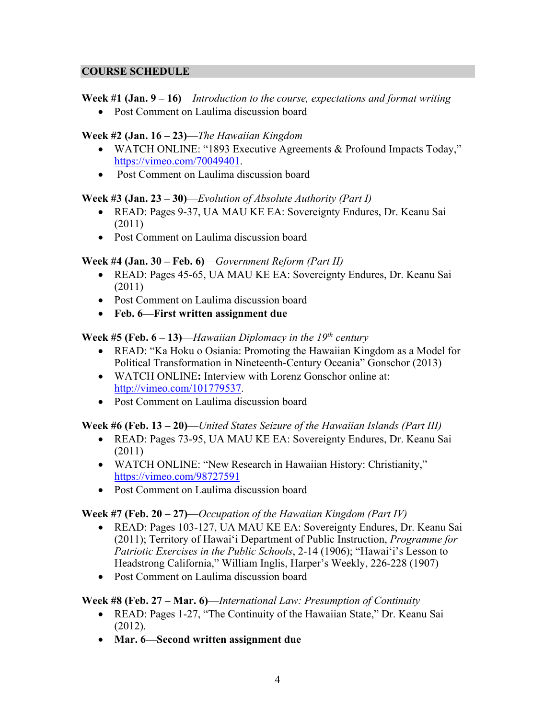### **COURSE SCHEDULE**

#### **Week #1 (Jan. 9 – 16)**—*Introduction to the course, expectations and format writing*

• Post Comment on Laulima discussion board

## **Week #2 (Jan. 16 – 23)**—*The Hawaiian Kingdom*

- WATCH ONLINE: "1893 Executive Agreements & Profound Impacts Today," https://vimeo.com/70049401.
- Post Comment on Laulima discussion board

### **Week #3 (Jan. 23 – 30)**—*Evolution of Absolute Authority (Part I)*

- READ: Pages 9-37, UA MAU KE EA: Sovereignty Endures, Dr. Keanu Sai (2011)
- Post Comment on Laulima discussion board

# **Week #4 (Jan. 30 – Feb. 6)**—*Government Reform (Part II)*

- READ: Pages 45-65, UA MAU KE EA: Sovereignty Endures, Dr. Keanu Sai (2011)
- Post Comment on Laulima discussion board
- **Feb. 6—First written assignment due**

# **Week #5 (Feb. 6 – 13)**—*Hawaiian Diplomacy in the 19th century*

- READ: "Ka Hoku o Osiania: Promoting the Hawaiian Kingdom as a Model for Political Transformation in Nineteenth-Century Oceania" Gonschor (2013)
- WATCH ONLINE**:** Interview with Lorenz Gonschor online at: http://vimeo.com/101779537.
- Post Comment on Laulima discussion board

### **Week #6 (Feb. 13 – 20)**—*United States Seizure of the Hawaiian Islands (Part III)*

- READ: Pages 73-95, UA MAU KE EA: Sovereignty Endures, Dr. Keanu Sai (2011)
- WATCH ONLINE: "New Research in Hawaiian History: Christianity," https://vimeo.com/98727591
- Post Comment on Laulima discussion board

# **Week #7 (Feb. 20 – 27)**—*Occupation of the Hawaiian Kingdom (Part IV)*

- READ: Pages 103-127, UA MAU KE EA: Sovereignty Endures, Dr. Keanu Sai (2011); Territory of Hawai'i Department of Public Instruction, *Programme for Patriotic Exercises in the Public Schools*, 2-14 (1906); "Hawai'i's Lesson to Headstrong California," William Inglis, Harper's Weekly, 226-228 (1907)
- Post Comment on Laulima discussion board

**Week #8 (Feb. 27 – Mar. 6)**—*International Law: Presumption of Continuity* 

- READ: Pages 1-27, "The Continuity of the Hawaiian State," Dr. Keanu Sai (2012).
- **Mar. 6—Second written assignment due**